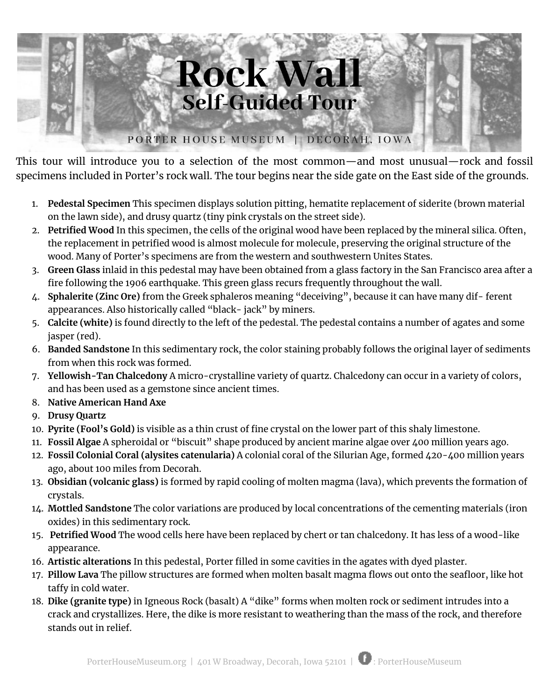

This tour will introduce you to a selection of the most common—and most unusual—rock and fossil specimens included in Porter's rock wall. The tour begins near the side gate on the East side of the grounds.

- 1. **Pedestal Specimen** This specimen displays solution pitting, hematite replacement of siderite (brown material on the lawn side), and drusy quartz (tiny pink crystals on the street side).
- 2. **Petrified Wood** In this specimen, the cells of the original wood have been replaced by the mineral silica. Often, the replacement in petrified wood is almost molecule for molecule, preserving the original structure of the wood. Many of Porter's specimens are from the western and southwestern Unites States.
- 3. **Green Glass** inlaid in this pedestal may have been obtained from a glass factory in the San Francisco area after a fire following the 1906 earthquake. This green glass recurs frequently throughout the wall.
- 4. **Sphalerite (Zinc Ore)** from the Greek sphaleros meaning "deceiving", because it can have many dif- ferent appearances. Also historically called "black- jack" by miners.
- 5. **Calcite (white)** is found directly to the left of the pedestal. The pedestal contains a number of agates and some jasper (red).
- 6. **Banded Sandstone** In this sedimentary rock, the color staining probably follows the original layer of sediments from when this rock was formed.
- 7. **Yellowish-Tan Chalcedony** A micro-crystalline variety of quartz. Chalcedony can occur in a variety of colors, and has been used as a gemstone since ancient times.
- 8. **Native American Hand Axe**
- 9. **Drusy Quartz**
- 10. **Pyrite (Fool's Gold)** is visible as a thin crust of fine crystal on the lower part of this shaly limestone.
- 11. **Fossil Algae** A spheroidal or "biscuit" shape produced by ancient marine algae over 400 million years ago.
- 12. **Fossil Colonial Coral (alysites catenularia)** A colonial coral of the Silurian Age, formed 420-400 million years ago, about 100 miles from Decorah.
- 13. **Obsidian (volcanic glass)** is formed by rapid cooling of molten magma (lava), which prevents the formation of crystals.
- 14. **Mottled Sandstone** The color variations are produced by local concentrations of the cementing materials (iron oxides) in this sedimentary rock.
- 15. **Petrified Wood** The wood cells here have been replaced by chert or tan chalcedony. It has less of a wood-like appearance.
- 16. **Artistic alterations** In this pedestal, Porter filled in some cavities in the agates with dyed plaster.
- 17. **Pillow Lava** The pillow structures are formed when molten basalt magma flows out onto the seafloor, like hot taffy in cold water.
- 18. **Dike (granite type)** in Igneous Rock (basalt) A "dike" forms when molten rock or sediment intrudes into a crack and crystallizes. Here, the dike is more resistant to weathering than the mass of the rock, and therefore stands out in relief.